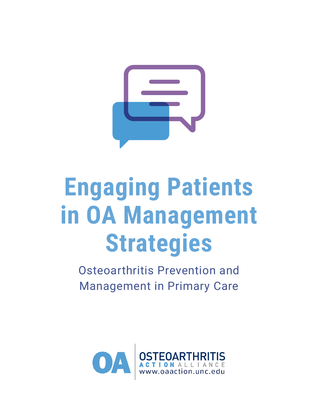

# **Engaging Patients in OA Management Strategies**

Osteoarthritis Prevention and Management in Primary Care

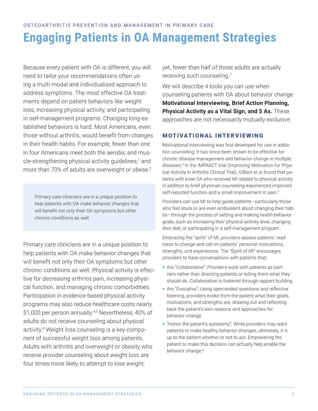Because every patient with OA is different, you will need to tailor your recommendations often using a multi-modal and individualized approach to address symptoms. The most effective OA treatments depend on patient behaviors like weight loss, increasing physical activity, and participating in self-management programs. Changing long-established behaviors is hard. Most Americans, even those without arthritis, would benefit from changes in their health habits. For example, fewer than one in four Americans meet both the aerobic and muscle-strengthening physical activity guidelines,<sup>1</sup> and more than 70% of adults are overweight or obese.<sup>2</sup>

Primary care clinicians are in a unique position to help patients with OA make behavior changes that will benefit not only their OA symptoms but other chronic conditions as well.

Primary care clinicians are in a unique position to help patients with OA make behavior changes that will benefit not only their OA symptoms but other chronic conditions as well. Physical activity is effective for decreasing arthritis pain, increasing physical function, and managing chronic comorbidities. Participation in evidence-based physical activity programs may also reduce healthcare costs nearly \$1,000 per person annually.<sup>4,5</sup> Nevertheless, 40% of adults do not receive counseling about physical activity.6 Weight loss counseling is a key component of successful weight loss among patients. Adults with arthritis and overweight or obesity who receive provider counseling about weight loss are four times more likely to attempt to lose weight;

yet, fewer than half of those adults are actually receiving such counseling.7

We will describe 4 tools you can use when counseling patients with OA about behavior change: **[Motivational Interviewing,](#page-1-0) [Brief Action Planning,](#page-3-0) [Physical Activity as a Vital Sign,](#page-4-0) and [5 As](#page-5-0).** These approaches are not necessarily mutually exclusive.

# <span id="page-1-0"></span>MOTIVATIONAL INTERVIEWING

Motivational interviewing was first developed for use in addiction counseling. It has since been shown to be effective for chronic disease management and behavior change in multiple diseases.8 In the IMPAACT trial (Improving Motivation for Physical Activity in Arthritis Clinical Trial), Gilbert et al found that patients with knee OA who received MI related to physical activity in addition to brief physician counseling experienced improved self-reported function and a small improvement in pain.<sup>9</sup>

Providers can use MI to help guide patients—particularly those who feel stuck or are even ambivalent about changing their habits—through the process of setting and making health behavior goals, such as increasing their physical activity level, changing their diet, or participating in a self-management program.

Embracing the "spirit" of MI, providers assess patients' readiness to change and call on patients' personal motivations, strengths, and experiences. The "Spirit of MI" encourages providers to have conversations with patients that:

- Are "Collaborative": Providers work with patients as partners rather than directing patients or telling them what they should do. Collaboration is fostered through rapport building.
- Are "Evocative": Using open-ended questions and reflective listening, providers evoke from the patient what their goals, motivations, and strengths are, drawing out and reflecting back the patient's own reasons and approaches for behavior change.
- "Honor the patient's autonomy": While providers may want patients to make healthy behavior changes, ultimately, it is up to the patient whether or not to act. Empowering the patient to make this decision can actually help enable the behavior change.<sup>8</sup>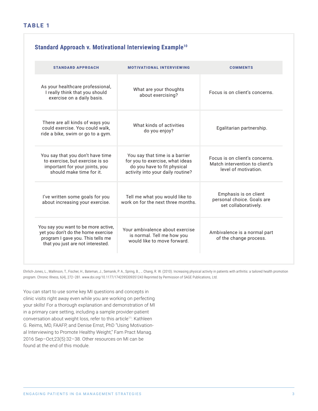## **TABLE 1**

| <b>STANDARD APPROACH</b>                                                                                                                            | <b>MOTIVATIONAL INTERVIEWING</b>                                                                                                      | <b>COMMENTS</b>                                                                          |
|-----------------------------------------------------------------------------------------------------------------------------------------------------|---------------------------------------------------------------------------------------------------------------------------------------|------------------------------------------------------------------------------------------|
| As your healthcare professional,<br>I really think that you should<br>exercise on a daily basis.                                                    | What are your thoughts<br>about exercising?                                                                                           | Focus is on client's concerns.                                                           |
| There are all kinds of ways you<br>could exercise. You could walk,<br>ride a bike, swim or go to a gym.                                             | What kinds of activities<br>do you enjoy?                                                                                             | Egalitarian partnership.                                                                 |
| You say that you don't have time<br>to exercise, but exercise is so<br>important for your joints, you<br>should make time for it.                   | You say that time is a barrier<br>for you to exercise, what ideas<br>do you have to fit physical<br>activity into your daily routine? | Focus is on client's concerns.<br>Match intervention to client's<br>level of motivation. |
| I've written some goals for you<br>about increasing your exercise.                                                                                  | Tell me what you would like to<br>work on for the next three months.                                                                  | Emphasis is on client<br>personal choice. Goals are<br>set collaboratively.              |
| You say you want to be more active,<br>yet you don't do the home exercise<br>program I gave you. This tells me<br>that you just are not interested. | Your ambivalence about exercise<br>is normal. Tell me how you<br>would like to move forward.                                          | Ambivalence is a normal part<br>of the change process.                                   |

Ehrlich-Jones, L., Mallinson, T., Fischer, H., Bateman, J., Semanik, P. A., Spring, B., … Chang, R. W. (2010). Increasing physical activity in patients with arthritis: a tailored health promotion program. Chronic Illness, 6(4), 272–281. www.doi.org/10.1177/1742395309351243 Reprinted by Permission of SAGE Publications, Ltd.

You can start to use some key MI questions and concepts in clinic visits right away even while you are working on perfecting your skills! For a thorough explanation and demonstration of MI in a primary care setting, including a sample provider-patient conversation about weight loss, refer to this article<sup>11</sup>: Kathleen G. Reims, MD, FAAFP, and Denise Ernst, PhD "[Using Motivation](https://www.aafp.org/fpm/2016/0900/p32.html)[al Interviewing to Promote Healthy Weight](https://www.aafp.org/fpm/2016/0900/p32.html)," Fam Pract Manag. 2016 Sep–Oct;23(5):32–38. Other resources on MI can be found at the end of this module.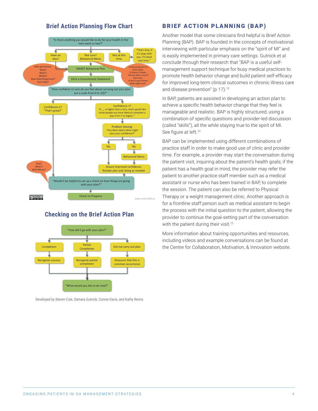#### **Brief Action Planning Flow Chart** Developed by Steven Cole, Damara Gutnick,



## Checking on the Brief Action Plan **Checking on the Brief Action Plan**



Developed by Steven Cole, Damara Gutnick, Connie Davis, and Kathy Reims

## <span id="page-3-0"></span>BRIEF ACTION PLANNING (BAP)

Another model that some clinicians find helpful is Brief Action Planning (BAP). BAP is founded in the concepts of motivational interviewing with particular emphasis on the "spirit of MI" and is easily implemented in primary care settings. Gutnick et al conclude through their research that "BAP is a useful selfmanagement support technique for busy medical practices to promote health behavior change and build patient self-efficacy for improved long-term clinical outcomes in chronic illness care and disease prevention" (p 17).<sup>12</sup>

In BAP, patients are assisted in developing an action plan to achieve a specific health behavior change that they feel is manageable and realistic. BAP is highly structured, using a combination of specific questions and provider-led discussion (called "skills"), all the while staying true to the spirit of MI. See figure at left.<sup>13</sup>

BAP can be implemented using different combinations of practice staff in order to make good use of clinic and provider time. For example, a provider may start the conversation during the patient visit, inquiring about the patient's health goals; if the patient has a health goal in mind, the provider may refer the patient to another practice staff member such as a medical assistant or nurse who has been trained in BAP, to complete the session. The patient can also be referred to Physical Therapy or a weight management clinic. Another approach is for a frontline staff person such as medical assistant to begin the process with the initial question to the patient, allowing the provider to continue the goal-setting part of the conversation with the patient during their visit.<sup>12</sup>

More information about training opportunities and resources, including videos and example conversations can be found at the [Centre for Collaboration, Motivation, & Innovation website.](https://centrecmi.ca/brief-action-planning/)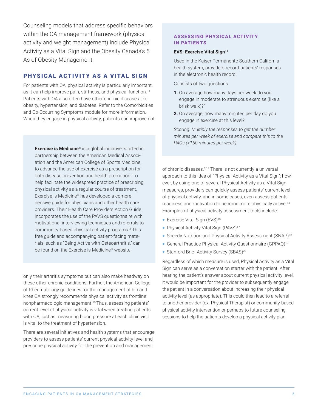Counseling models that address specific behaviors within the OA management framework (physical activity and weight management) include Physical Activity as a Vital Sign and the Obesity Canada's 5 As of Obesity Management.

## <span id="page-4-0"></span>PHYSICAL ACTIVITY AS A VITAL SIGN

For patients with OA, physical activity is particularly important, as it can help improve pain, stiffness, and physical function.<sup>14</sup> Patients with OA also often have other chronic diseases like obesity, hypertension, and diabetes. Refer to the Comorbidities and Co-Occurring Symptoms module for more information. When they engage in physical activity, patients can improve not

**Exercise is Medicine®** is a global initiative, started in partnership between the American Medical Association and the American College of Sports Medicine, to advance the use of exercise as a prescription for both disease prevention and health promotion. To help facilitate the widespread practice of prescribing physical activity as a regular course of treatment, Exercise is Medicine® has developed a comprehensive guide for physicians and other health care providers. Their Health Care Providers Action Guide incorporates the use of the PAVS questionnaire with motivational interviewing techniques and referrals to community-based physical activity programs.3 This free guide and accompanying patient-facing materials, such as "Being Active with Osteoarthritis," can be found on the Exercise is Medicine® website.

only their arthritis symptoms but can also make headway on these other chronic conditions. Further, the American College of Rheumatology guidelines for the management of hip and knee OA strongly recommends physical activity as frontline nonpharmacologic management.15 Thus, assessing patients' current level of physical activity is vital when treating patients with OA, just as measuring blood pressure at each clinic visit is vital to the treatment of hypertension.

There are several initiatives and health systems that encourage providers to assess patients' current physical activity level and prescribe physical activity for the prevention and management

### ASSESSING PHYSICAL ACTIVITY IN PATIENTS

#### **EVS: Exercise Vital Sign<sup>16</sup>**

Used in the Kaiser Permanente Southern California health system, providers record patients' responses in the electronic health record.

Consists of two questions

- **1.** On average how many days per week do you engage in moderate to strenuous exercise (like a brisk walk)?"
- **2.** On average, how many minutes per day do you engage in exercise at this level?

*Scoring: Multiply the responses to get the number minutes per week of exercise and compare this to the PAGs (>150 minutes per week).*

of chronic diseases.3,14 There is not currently a universal approach to this idea of "Physical Activity as a Vital Sign"; however, by using one of several Physical Activity as a Vital Sign measures, providers can quickly assess patients' current level of physical activity, and in some cases, even assess patients' readiness and motivation to become more physically active.14 Examples of physical activity assessment tools include:

- Exercise Vital Sign (EVS)<sup>16</sup>
- Physical Activity Vital Sign (PAVS)<sup>17</sup>
- Speedy Nutrition and Physical Activity Assessment (SNAP)18
- General Practice Physical Activity Questionnaire (GPPAQ)19
- Stanford Brief Activity Survey (SBAS)<sup>20</sup>

Regardless of which measure is used, Physical Activity as a Vital Sign can serve as a conversation starter with the patient. After hearing the patient's answer about current physical activity level, it would be important for the provider to subsequently engage the patient in a conversation about increasing their physical activity level (as appropriate). This could then lead to a referral to another provider (ex. Physical Therapist) or community-based physical activity intervention or perhaps to future counseling sessions to help the patients develop a physical activity plan.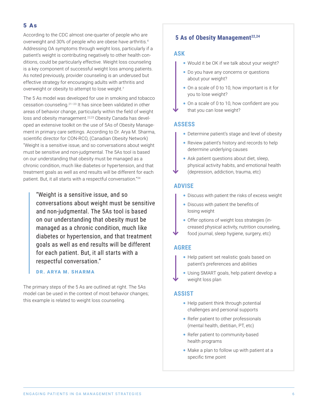## <span id="page-5-0"></span>5 As

According to the CDC almost one-quarter of people who are overweight and 30% of people who are obese have arthritis.4 Addressing OA symptoms through weight loss, particularly if a patient's weight is contributing negatively to other health conditions, could be particularly effective. Weight loss counseling is a key component of successful weight loss among patients. As noted previously, provider counseling is an underused but effective strategy for encouraging adults with arthritis and overweight or obesity to attempt to lose weight.<sup>7</sup>

The 5 As model was developed for use in smoking and tobacco cessation counseling.21–23 It has since been validated in other areas of behavior change, particularly within the field of weight loss and obesity management.<sup>22,23</sup> Obesity Canada has developed an extensive toolkit on the use of 5As of Obesity Management in primary care settings. According to Dr. Arya M. Sharma, scientific director for CON-RCO, (Canadian Obesity Network) "Weight is a sensitive issue, and so conversations about weight must be sensitive and non-judgmental. The 5As tool is based on our understanding that obesity must be managed as a chronic condition, much like diabetes or hypertension, and that treatment goals as well as end results will be different for each patient. But, it all starts with a respectful conversation."24

"Weight is a sensitive issue, and so conversations about weight must be sensitive and non-judgmental. The 5As tool is based on our understanding that obesity must be managed as a chronic condition, much like diabetes or hypertension, and that treatment goals as well as end results will be different for each patient. But, it all starts with a respectful conversation."

## DR. ARYA M. SHARMA

The primary steps of the 5 As are outlined at right. The 5As model can be used in the context of most behavior changes; this example is related to weight loss counseling.

## **5 As of Obesity Management**<sup>22,24</sup>

#### **ASK**

- Would it be OK if we talk about your weight?
- Do you have any concerns or questions about your weight?
- On a scale of 0 to 10, how important is it for you to lose weight?
- On a scale of 0 to 10, how confident are you that you can lose weight?

## **ASSESS**

- Determine patient's stage and level of obesity
- Review patient's history and records to help determine underlying causes
- Ask patient questions about diet, sleep, physical activity habits, and emotional health (depression, addiction, trauma, etc)

### **ADVISE**

- Discuss with patient the risks of excess weight
- Discuss with patient the benefits of losing weight
- Offer options of weight loss strategies (increased physical activity, nutrition counseling, food journal, sleep hygiene, surgery, etc)

## **AGREE**

- Help patient set realistic goals based on patient's preferences and abilities
- Using SMART goals, help patient develop a weight loss plan

#### **ASSIST**

- Help patient think through potential challenges and personal supports
- Refer patient to other professionals (mental health, dietitian, PT, etc)
- Refer patient to community-based health programs
- Make a plan to follow up with patient at a specific time point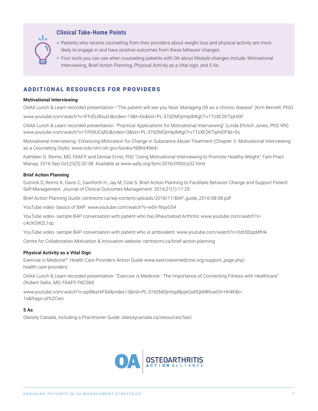

## **Clinical Take-Home Points**

- Patients who receive counseling from their providers about weight loss and physical activity are more likely to engage in and have positive outcomes from these behavior changes.
- Four tools you can use when counseling patients with OA about lifestyle changes include: Motivational Interviewing, Brief Action Planning, Physical Activity as a Vital sign, and 5 As.

## ADDITIONAL RESOURCES FOR PROVIDERS

#### **Motivational Interviewing**

OAAA Lunch & Learn recorded presentation—"The patient will see you Now: Managing OA as a chronic disease" (Kim Bennell, PhD)

www.youtube.com/watch?v=IFFd5JBsutU&index=14&t=0s&list=PL-37d2MOjmtplMtgt7rv1TzXE2KTqAX0F

OAAA Lunch & Learn recorded presentation- "Practical Applications for Motivational Interviewing" (Linda Ehrlich Jones, PhD, RN) www.youtube.com/watch?v=TrfIi9UCqRU&index=3&list=PL-37d2MOjmtplMtgt7rv1TzXE2KTqAX0F&t=0s

Motivational Interviewing- Enhancing Motivation for Change in Substance Abuse Treatment (Chapter 3- Motivational Interviewing as a Counseling Style): www.ncbi.nlm.nih.gov/books/NBK64964/

Kathleen G. Reims, MD, FAAFP, and Denise Ernst, PhD "Using Motivational Interviewing to Promote Healthy Weight," Fam Pract Manag. 2016 Sep-Oct;23(5):32-38. Available at www.aafp.org/fpm/2016/0900/p32.html

#### **Brief Action Planning**

Gutnick D, Reims K, Davis C, Gainforth H, Jay M, Cole S. Brief Action Planning to Facilitate Behavior Change and Support Patient Self-Management. Journal of Clinical Outcomes Management. 2014;21(1):17-29.

Brief Action Planning Guide: [centrecmi.ca/wp-content/uploads/2018/11/BAP\\_guide\\_2016-08-08.pdf](https://centrecmi.ca/wp-content/uploads/2018/11/BAP_guide_2016-08-08.pdf)

YouTube video- basics of BAP: [www.youtube.com/watch?v=w0n-f6qyG54](http://www.youtube.com/watch?v=w0n-f6qyG54 ) 

YouTube video- sample BAP conversation with patient who has Rheumatoid Arthritis: [www.youtube.com/watch?v=](https://www.youtube.com/watch?v=c4cXGW2L1qc) [c4cXGW2L1qc](https://www.youtube.com/watch?v=c4cXGW2L1qc)

YouTube video- sample BAP conversation with patient who is ambivalent: www.youtube.com/watch?v=0z65EppMfHk

Centre for Collaboration Motivation & Innovation website: [centrecmi.ca/brief-action-planning](https://centrecmi.ca/brief-action-planning/)

#### **Physical Activity as a Vital Sign**

Exercise is Medicine®: Health Care Providers Action Guide www.exerciseismedicine.org/support\_page.php/ health-care-providers

OAAA Lunch & Learn recorded presentation- "Exercise is Medicine - The Importance of Connecting Fitness with Healthcare" (Robert Sallis, MD, FAAFP, FACSM)

www.youtube.com/watch?v=pp8lkaHiF8A&index=3&list=PL-37d2MOjmtqd8ppkQsRQbMRowDV-Hh4K&t= 1s&frags=pl%2Cwn

#### **5 As**

Obesity Canada, including a Practitioner Guide: [obesitycanada.ca/resources/5as/](https://obesitycanada.ca/resources/5as/)

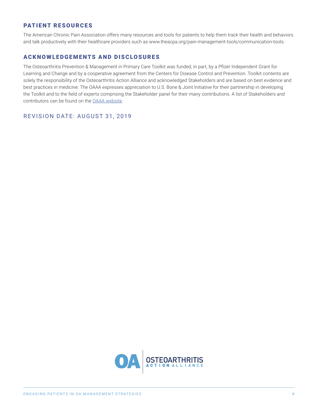## PATIENT RESOURCES

The American Chronic Pain Association offers many resources and tools for patients to help them track their health and behaviors and talk productively with their healthcare providers such as www.theacpa.org/pain-management-tools/communication-tools.

## ACKNOWLEDGEMENTS AND DISCLOSURES

The Osteoarthritis Prevention & Management in Primary Care Toolkit was funded, in part, by a Pfizer Independent Grant for Learning and Change and by a cooperative agreement from the Centers for Disease Control and Prevention. Toolkit contents are solely the responsibility of the Osteoarthritis Action Alliance and acknowledged Stakeholders and are based on best evidence and best practices in medicine. The OAAA expresses appreciation to U.S. Bone & Joint Initiative for their partnership in developing the Toolkit and to the field of experts comprising the Stakeholder panel for their many contributions. A list of Stakeholders and contributors can be found on the [OAAA website](https://oaaction.unc.edu/oa-module/stakeholders/).

REVISION DATE: AUGUST 31, 2019